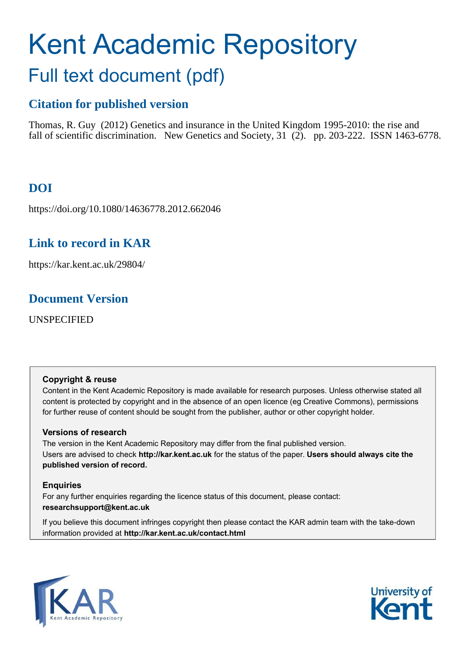# Kent Academic Repository Full text document (pdf)

# **Citation for published version**

Thomas, R. Guy (2012) Genetics and insurance in the United Kingdom 1995-2010: the rise and fall of scientific discrimination. New Genetics and Society, 31 (2). pp. 203-222. ISSN 1463-6778.

# **DOI**

https://doi.org/10.1080/14636778.2012.662046

# **Link to record in KAR**

https://kar.kent.ac.uk/29804/

## **Document Version**

UNSPECIFIED

## **Copyright & reuse**

Content in the Kent Academic Repository is made available for research purposes. Unless otherwise stated all content is protected by copyright and in the absence of an open licence (eg Creative Commons), permissions for further reuse of content should be sought from the publisher, author or other copyright holder.

## **Versions of research**

The version in the Kent Academic Repository may differ from the final published version. Users are advised to check **http://kar.kent.ac.uk** for the status of the paper. **Users should always cite the published version of record.**

## **Enquiries**

For any further enquiries regarding the licence status of this document, please contact: **researchsupport@kent.ac.uk**

If you believe this document infringes copyright then please contact the KAR admin team with the take-down information provided at **http://kar.kent.ac.uk/contact.html**



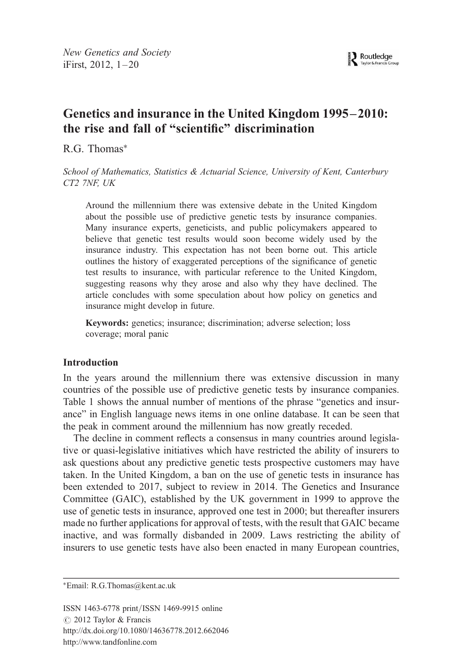## Genetics and insurance in the United Kingdom 1995–2010: the rise and fall of "scientific" discrimination

R.G. Thomas<sup>∗</sup>

School of Mathematics, Statistics & Actuarial Science, University of Kent, Canterbury CT2 7NF, UK

Around the millennium there was extensive debate in the United Kingdom about the possible use of predictive genetic tests by insurance companies. Many insurance experts, geneticists, and public policymakers appeared to believe that genetic test results would soon become widely used by the insurance industry. This expectation has not been borne out. This article outlines the history of exaggerated perceptions of the significance of genetic test results to insurance, with particular reference to the United Kingdom, suggesting reasons why they arose and also why they have declined. The article concludes with some speculation about how policy on genetics and insurance might develop in future.

Keywords: genetics; insurance; discrimination; adverse selection; loss coverage; moral panic

#### Introduction

In the years around the millennium there was extensive discussion in many countries of the possible use of predictive genetic tests by insurance companies. Table 1 shows the annual number of mentions of the phrase "genetics and insurance" in English language news items in one online database. It can be seen that the peak in comment around the millennium has now greatly receded.

The decline in comment reflects a consensus in many countries around legislative or quasi-legislative initiatives which have restricted the ability of insurers to ask questions about any predictive genetic tests prospective customers may have taken. In the United Kingdom, a ban on the use of genetic tests in insurance has been extended to 2017, subject to review in 2014. The Genetics and Insurance Committee (GAIC), established by the UK government in 1999 to approve the use of genetic tests in insurance, approved one test in 2000; but thereafter insurers made no further applications for approval of tests, with the result that GAIC became inactive, and was formally disbanded in 2009. Laws restricting the ability of insurers to use genetic tests have also been enacted in many European countries,

<sup>∗</sup>Email: R.G.Thomas@kent.ac.uk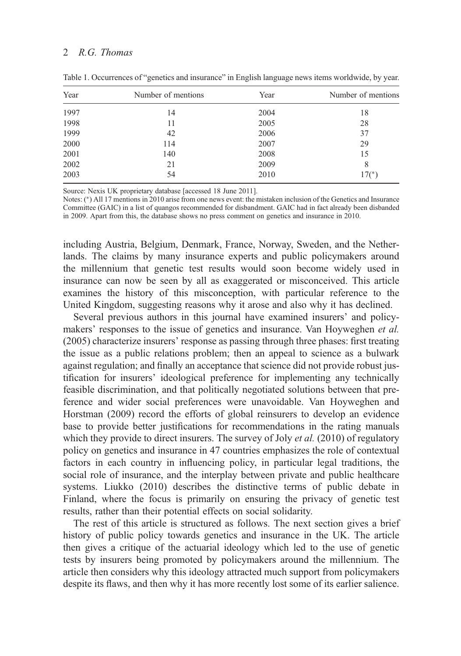| Year | Number of mentions | Year | Number of mentions |  |
|------|--------------------|------|--------------------|--|
| 1997 | 14                 | 2004 | 18                 |  |
| 1998 | 11                 | 2005 | 28                 |  |
| 1999 | 42                 | 2006 | 37                 |  |
| 2000 | 114                | 2007 | 29                 |  |
| 2001 | 140                | 2008 | 15                 |  |
| 2002 | 21                 | 2009 | 8                  |  |
| 2003 | 54                 | 2010 | $17(*)$            |  |

Table 1. Occurrences of "genetics and insurance" in English language news items worldwide, by year.

Source: Nexis UK proprietary database [accessed 18 June 2011].

Notes: (<sup>∗</sup> ) All 17 mentions in 2010 arise from one news event: the mistaken inclusion of the Genetics and Insurance Committee (GAIC) in a list of quangos recommended for disbandment. GAIC had in fact already been disbanded in 2009. Apart from this, the database shows no press comment on genetics and insurance in 2010.

including Austria, Belgium, Denmark, France, Norway, Sweden, and the Netherlands. The claims by many insurance experts and public policymakers around the millennium that genetic test results would soon become widely used in insurance can now be seen by all as exaggerated or misconceived. This article examines the history of this misconception, with particular reference to the United Kingdom, suggesting reasons why it arose and also why it has declined.

Several previous authors in this journal have examined insurers' and policymakers' responses to the issue of genetics and insurance. Van Hoyweghen *et al.* (2005) characterize insurers' response as passing through three phases: first treating the issue as a public relations problem; then an appeal to science as a bulwark against regulation; and finally an acceptance that science did not provide robust justification for insurers' ideological preference for implementing any technically feasible discrimination, and that politically negotiated solutions between that preference and wider social preferences were unavoidable. Van Hoyweghen and Horstman (2009) record the efforts of global reinsurers to develop an evidence base to provide better justifications for recommendations in the rating manuals which they provide to direct insurers. The survey of Joly *et al.* (2010) of regulatory policy on genetics and insurance in 47 countries emphasizes the role of contextual factors in each country in influencing policy, in particular legal traditions, the social role of insurance, and the interplay between private and public healthcare systems. Liukko (2010) describes the distinctive terms of public debate in Finland, where the focus is primarily on ensuring the privacy of genetic test results, rather than their potential effects on social solidarity.

The rest of this article is structured as follows. The next section gives a brief history of public policy towards genetics and insurance in the UK. The article then gives a critique of the actuarial ideology which led to the use of genetic tests by insurers being promoted by policymakers around the millennium. The article then considers why this ideology attracted much support from policymakers despite its flaws, and then why it has more recently lost some of its earlier salience.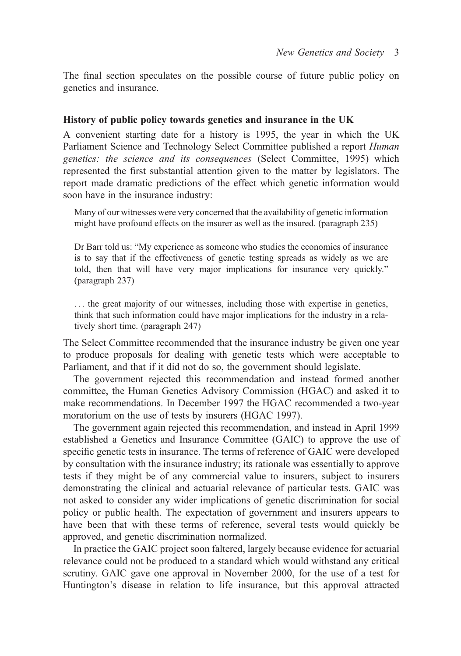The final section speculates on the possible course of future public policy on genetics and insurance.

#### History of public policy towards genetics and insurance in the UK

A convenient starting date for a history is 1995, the year in which the UK Parliament Science and Technology Select Committee published a report Human genetics: the science and its consequences (Select Committee, 1995) which represented the first substantial attention given to the matter by legislators. The report made dramatic predictions of the effect which genetic information would soon have in the insurance industry:

Many of our witnesses were very concerned that the availability of genetic information might have profound effects on the insurer as well as the insured. (paragraph 235)

Dr Barr told us: "My experience as someone who studies the economics of insurance is to say that if the effectiveness of genetic testing spreads as widely as we are told, then that will have very major implications for insurance very quickly." (paragraph 237)

... the great majority of our witnesses, including those with expertise in genetics, think that such information could have major implications for the industry in a relatively short time. (paragraph 247)

The Select Committee recommended that the insurance industry be given one year to produce proposals for dealing with genetic tests which were acceptable to Parliament, and that if it did not do so, the government should legislate.

The government rejected this recommendation and instead formed another committee, the Human Genetics Advisory Commission (HGAC) and asked it to make recommendations. In December 1997 the HGAC recommended a two-year moratorium on the use of tests by insurers (HGAC 1997).

The government again rejected this recommendation, and instead in April 1999 established a Genetics and Insurance Committee (GAIC) to approve the use of specific genetic tests in insurance. The terms of reference of GAIC were developed by consultation with the insurance industry; its rationale was essentially to approve tests if they might be of any commercial value to insurers, subject to insurers demonstrating the clinical and actuarial relevance of particular tests. GAIC was not asked to consider any wider implications of genetic discrimination for social policy or public health. The expectation of government and insurers appears to have been that with these terms of reference, several tests would quickly be approved, and genetic discrimination normalized.

In practice the GAIC project soon faltered, largely because evidence for actuarial relevance could not be produced to a standard which would withstand any critical scrutiny. GAIC gave one approval in November 2000, for the use of a test for Huntington's disease in relation to life insurance, but this approval attracted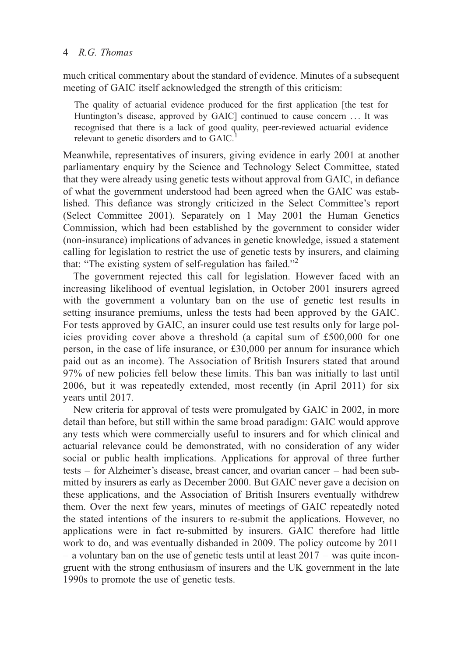much critical commentary about the standard of evidence. Minutes of a subsequent meeting of GAIC itself acknowledged the strength of this criticism:

The quality of actuarial evidence produced for the first application [the test for Huntington's disease, approved by GAIC] continued to cause concern ... It was recognised that there is a lack of good quality, peer-reviewed actuarial evidence relevant to genetic disorders and to GAIC.<sup>1</sup>

Meanwhile, representatives of insurers, giving evidence in early 2001 at another parliamentary enquiry by the Science and Technology Select Committee, stated that they were already using genetic tests without approval from GAIC, in defiance of what the government understood had been agreed when the GAIC was established. This defiance was strongly criticized in the Select Committee's report (Select Committee 2001). Separately on 1 May 2001 the Human Genetics Commission, which had been established by the government to consider wider (non-insurance) implications of advances in genetic knowledge, issued a statement calling for legislation to restrict the use of genetic tests by insurers, and claiming that: "The existing system of self-regulation has failed."<sup>2</sup>

The government rejected this call for legislation. However faced with an increasing likelihood of eventual legislation, in October 2001 insurers agreed with the government a voluntary ban on the use of genetic test results in setting insurance premiums, unless the tests had been approved by the GAIC. For tests approved by GAIC, an insurer could use test results only for large policies providing cover above a threshold (a capital sum of £500,000 for one person, in the case of life insurance, or £30,000 per annum for insurance which paid out as an income). The Association of British Insurers stated that around 97% of new policies fell below these limits. This ban was initially to last until 2006, but it was repeatedly extended, most recently (in April 2011) for six years until 2017.

New criteria for approval of tests were promulgated by GAIC in 2002, in more detail than before, but still within the same broad paradigm: GAIC would approve any tests which were commercially useful to insurers and for which clinical and actuarial relevance could be demonstrated, with no consideration of any wider social or public health implications. Applications for approval of three further tests – for Alzheimer's disease, breast cancer, and ovarian cancer – had been submitted by insurers as early as December 2000. But GAIC never gave a decision on these applications, and the Association of British Insurers eventually withdrew them. Over the next few years, minutes of meetings of GAIC repeatedly noted the stated intentions of the insurers to re-submit the applications. However, no applications were in fact re-submitted by insurers. GAIC therefore had little work to do, and was eventually disbanded in 2009. The policy outcome by 2011  $-$  a voluntary ban on the use of genetic tests until at least  $2017 -$  was quite incongruent with the strong enthusiasm of insurers and the UK government in the late 1990s to promote the use of genetic tests.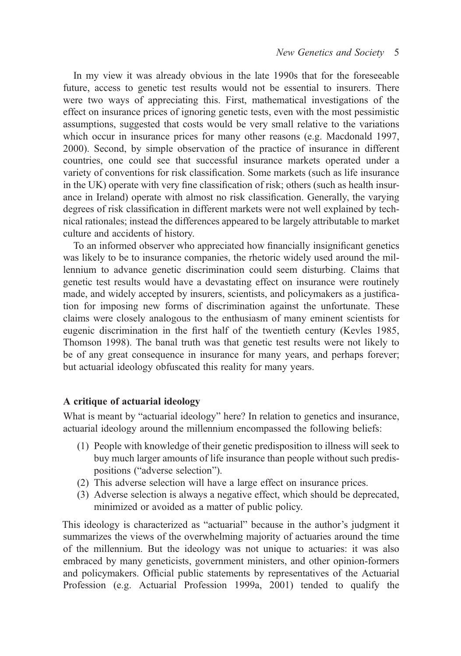In my view it was already obvious in the late 1990s that for the foreseeable future, access to genetic test results would not be essential to insurers. There were two ways of appreciating this. First, mathematical investigations of the effect on insurance prices of ignoring genetic tests, even with the most pessimistic assumptions, suggested that costs would be very small relative to the variations which occur in insurance prices for many other reasons (e.g. Macdonald 1997, 2000). Second, by simple observation of the practice of insurance in different countries, one could see that successful insurance markets operated under a variety of conventions for risk classification. Some markets (such as life insurance in the UK) operate with very fine classification of risk; others (such as health insurance in Ireland) operate with almost no risk classification. Generally, the varying degrees of risk classification in different markets were not well explained by technical rationales; instead the differences appeared to be largely attributable to market culture and accidents of history.

To an informed observer who appreciated how financially insignificant genetics was likely to be to insurance companies, the rhetoric widely used around the millennium to advance genetic discrimination could seem disturbing. Claims that genetic test results would have a devastating effect on insurance were routinely made, and widely accepted by insurers, scientists, and policymakers as a justification for imposing new forms of discrimination against the unfortunate. These claims were closely analogous to the enthusiasm of many eminent scientists for eugenic discrimination in the first half of the twentieth century (Kevles 1985, Thomson 1998). The banal truth was that genetic test results were not likely to be of any great consequence in insurance for many years, and perhaps forever; but actuarial ideology obfuscated this reality for many years.

#### A critique of actuarial ideology

What is meant by "actuarial ideology" here? In relation to genetics and insurance, actuarial ideology around the millennium encompassed the following beliefs:

- (1) People with knowledge of their genetic predisposition to illness will seek to buy much larger amounts of life insurance than people without such predispositions ("adverse selection").
- (2) This adverse selection will have a large effect on insurance prices.
- (3) Adverse selection is always a negative effect, which should be deprecated, minimized or avoided as a matter of public policy.

This ideology is characterized as "actuarial" because in the author's judgment it summarizes the views of the overwhelming majority of actuaries around the time of the millennium. But the ideology was not unique to actuaries: it was also embraced by many geneticists, government ministers, and other opinion-formers and policymakers. Official public statements by representatives of the Actuarial Profession (e.g. Actuarial Profession 1999a, 2001) tended to qualify the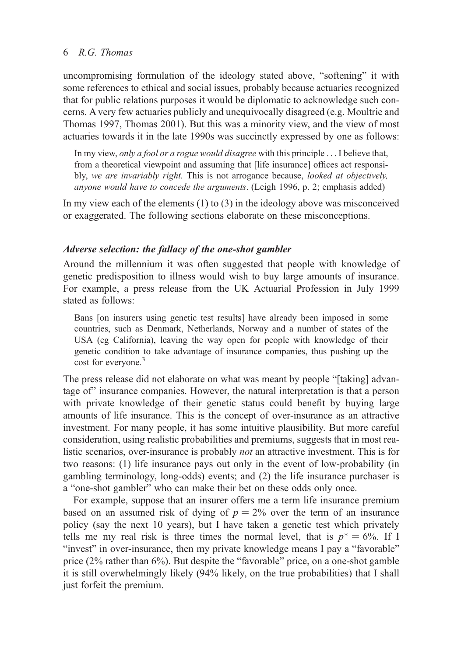uncompromising formulation of the ideology stated above, "softening" it with some references to ethical and social issues, probably because actuaries recognized that for public relations purposes it would be diplomatic to acknowledge such concerns. A very few actuaries publicly and unequivocally disagreed (e.g. Moultrie and Thomas 1997, Thomas 2001). But this was a minority view, and the view of most actuaries towards it in the late 1990s was succinctly expressed by one as follows:

In my view, only a fool or a rogue would disagree with this principle  $\dots$  I believe that, from a theoretical viewpoint and assuming that [life insurance] offices act responsibly, we are invariably right. This is not arrogance because, looked at objectively, anyone would have to concede the arguments. (Leigh 1996, p. 2; emphasis added)

In my view each of the elements (1) to (3) in the ideology above was misconceived or exaggerated. The following sections elaborate on these misconceptions.

#### Adverse selection: the fallacy of the one-shot gambler

Around the millennium it was often suggested that people with knowledge of genetic predisposition to illness would wish to buy large amounts of insurance. For example, a press release from the UK Actuarial Profession in July 1999 stated as follows:

Bans [on insurers using genetic test results] have already been imposed in some countries, such as Denmark, Netherlands, Norway and a number of states of the USA (eg California), leaving the way open for people with knowledge of their genetic condition to take advantage of insurance companies, thus pushing up the cost for everyone.<sup>3</sup>

The press release did not elaborate on what was meant by people "[taking] advantage of" insurance companies. However, the natural interpretation is that a person with private knowledge of their genetic status could benefit by buying large amounts of life insurance. This is the concept of over-insurance as an attractive investment. For many people, it has some intuitive plausibility. But more careful consideration, using realistic probabilities and premiums, suggests that in most realistic scenarios, over-insurance is probably not an attractive investment. This is for two reasons: (1) life insurance pays out only in the event of low-probability (in gambling terminology, long-odds) events; and (2) the life insurance purchaser is a "one-shot gambler" who can make their bet on these odds only once.

For example, suppose that an insurer offers me a term life insurance premium based on an assumed risk of dying of  $p = 2%$  over the term of an insurance policy (say the next 10 years), but I have taken a genetic test which privately tells me my real risk is three times the normal level, that is  $p^* = 6\%$ . If I "invest" in over-insurance, then my private knowledge means I pay a "favorable" price (2% rather than 6%). But despite the "favorable" price, on a one-shot gamble it is still overwhelmingly likely (94% likely, on the true probabilities) that I shall just forfeit the premium.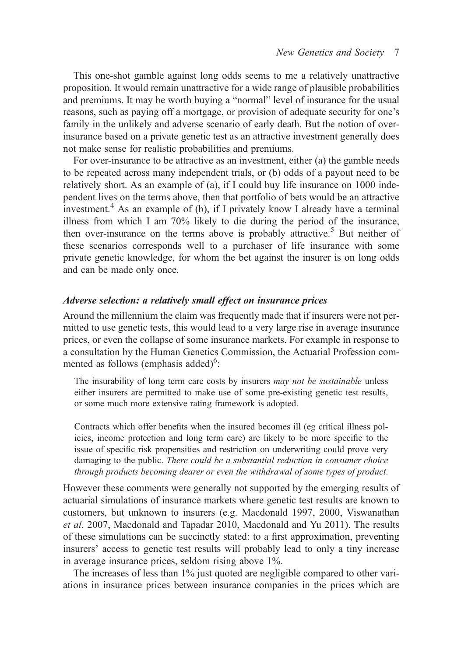This one-shot gamble against long odds seems to me a relatively unattractive proposition. It would remain unattractive for a wide range of plausible probabilities and premiums. It may be worth buying a "normal" level of insurance for the usual reasons, such as paying off a mortgage, or provision of adequate security for one's family in the unlikely and adverse scenario of early death. But the notion of overinsurance based on a private genetic test as an attractive investment generally does not make sense for realistic probabilities and premiums.

For over-insurance to be attractive as an investment, either (a) the gamble needs to be repeated across many independent trials, or (b) odds of a payout need to be relatively short. As an example of (a), if I could buy life insurance on 1000 independent lives on the terms above, then that portfolio of bets would be an attractive investment.<sup>4</sup> As an example of (b), if I privately know I already have a terminal illness from which I am 70% likely to die during the period of the insurance, then over-insurance on the terms above is probably attractive.<sup>5</sup> But neither of these scenarios corresponds well to a purchaser of life insurance with some private genetic knowledge, for whom the bet against the insurer is on long odds and can be made only once.

#### Adverse selection: a relatively small effect on insurance prices

Around the millennium the claim was frequently made that if insurers were not permitted to use genetic tests, this would lead to a very large rise in average insurance prices, or even the collapse of some insurance markets. For example in response to a consultation by the Human Genetics Commission, the Actuarial Profession commented as follows (emphasis added)<sup>6</sup>:

The insurability of long term care costs by insurers *may not be sustainable* unless either insurers are permitted to make use of some pre-existing genetic test results, or some much more extensive rating framework is adopted.

Contracts which offer benefits when the insured becomes ill (eg critical illness policies, income protection and long term care) are likely to be more specific to the issue of specific risk propensities and restriction on underwriting could prove very damaging to the public. *There could be a substantial reduction in consumer choice* through products becoming dearer or even the withdrawal of some types of product.

However these comments were generally not supported by the emerging results of actuarial simulations of insurance markets where genetic test results are known to customers, but unknown to insurers (e.g. Macdonald 1997, 2000, Viswanathan et al. 2007, Macdonald and Tapadar 2010, Macdonald and Yu 2011). The results of these simulations can be succinctly stated: to a first approximation, preventing insurers' access to genetic test results will probably lead to only a tiny increase in average insurance prices, seldom rising above 1%.

The increases of less than 1% just quoted are negligible compared to other variations in insurance prices between insurance companies in the prices which are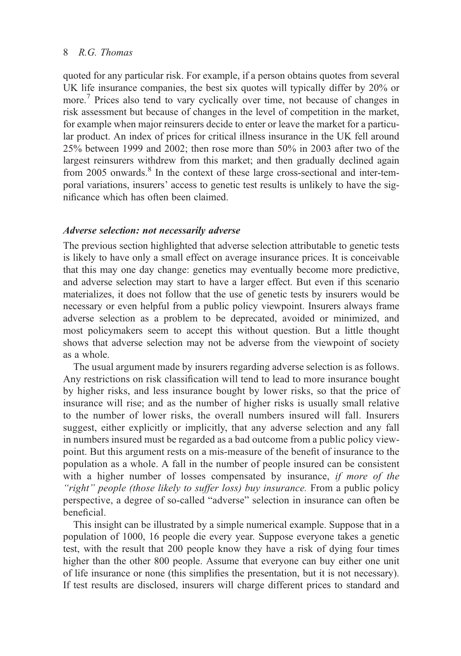quoted for any particular risk. For example, if a person obtains quotes from several UK life insurance companies, the best six quotes will typically differ by 20% or more.<sup>7</sup> Prices also tend to vary cyclically over time, not because of changes in risk assessment but because of changes in the level of competition in the market, for example when major reinsurers decide to enter or leave the market for a particular product. An index of prices for critical illness insurance in the UK fell around 25% between 1999 and 2002; then rose more than 50% in 2003 after two of the largest reinsurers withdrew from this market; and then gradually declined again from 2005 onwards.<sup>8</sup> In the context of these large cross-sectional and inter-temporal variations, insurers' access to genetic test results is unlikely to have the significance which has often been claimed.

#### Adverse selection: not necessarily adverse

The previous section highlighted that adverse selection attributable to genetic tests is likely to have only a small effect on average insurance prices. It is conceivable that this may one day change: genetics may eventually become more predictive, and adverse selection may start to have a larger effect. But even if this scenario materializes, it does not follow that the use of genetic tests by insurers would be necessary or even helpful from a public policy viewpoint. Insurers always frame adverse selection as a problem to be deprecated, avoided or minimized, and most policymakers seem to accept this without question. But a little thought shows that adverse selection may not be adverse from the viewpoint of society as a whole.

The usual argument made by insurers regarding adverse selection is as follows. Any restrictions on risk classification will tend to lead to more insurance bought by higher risks, and less insurance bought by lower risks, so that the price of insurance will rise; and as the number of higher risks is usually small relative to the number of lower risks, the overall numbers insured will fall. Insurers suggest, either explicitly or implicitly, that any adverse selection and any fall in numbers insured must be regarded as a bad outcome from a public policy viewpoint. But this argument rests on a mis-measure of the benefit of insurance to the population as a whole. A fall in the number of people insured can be consistent with a higher number of losses compensated by insurance, if more of the "right" people (those likely to suffer loss) buy insurance. From a public policy perspective, a degree of so-called "adverse" selection in insurance can often be beneficial.

This insight can be illustrated by a simple numerical example. Suppose that in a population of 1000, 16 people die every year. Suppose everyone takes a genetic test, with the result that 200 people know they have a risk of dying four times higher than the other 800 people. Assume that everyone can buy either one unit of life insurance or none (this simplifies the presentation, but it is not necessary). If test results are disclosed, insurers will charge different prices to standard and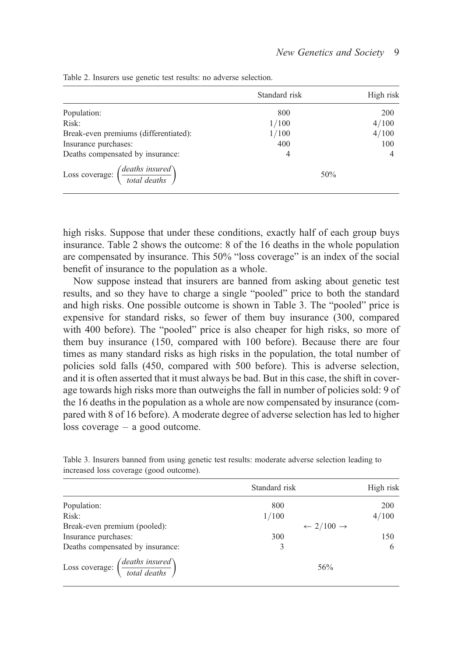Table 2. Insurers use genetic test results: no adverse selection.

| Standard risk | High risk |
|---------------|-----------|
| 800           | 200       |
| 1/100         | 4/100     |
| 1/100         | 4/100     |
| 400           | 100       |
| 4             |           |
| 50%           |           |
|               |           |

high risks. Suppose that under these conditions, exactly half of each group buys insurance. Table 2 shows the outcome: 8 of the 16 deaths in the whole population are compensated by insurance. This 50% "loss coverage" is an index of the social benefit of insurance to the population as a whole.

Now suppose instead that insurers are banned from asking about genetic test results, and so they have to charge a single "pooled" price to both the standard and high risks. One possible outcome is shown in Table 3. The "pooled" price is expensive for standard risks, so fewer of them buy insurance (300, compared with 400 before). The "pooled" price is also cheaper for high risks, so more of them buy insurance (150, compared with 100 before). Because there are four times as many standard risks as high risks in the population, the total number of policies sold falls (450, compared with 500 before). This is adverse selection, and it is often asserted that it must always be bad. But in this case, the shift in coverage towards high risks more than outweighs the fall in number of policies sold: 9 of the 16 deaths in the population as a whole are now compensated by insurance (compared with 8 of 16 before). A moderate degree of adverse selection has led to higher loss coverage – a good outcome.

| $\frac{1}{2}$                                                       |                                  |           |  |  |  |
|---------------------------------------------------------------------|----------------------------------|-----------|--|--|--|
|                                                                     | Standard risk                    | High risk |  |  |  |
| Population:                                                         | 800                              | 200       |  |  |  |
| Risk:                                                               | 1/100                            | 4/100     |  |  |  |
| Break-even premium (pooled):                                        | $\leftarrow$ 2/100 $\rightarrow$ |           |  |  |  |
| Insurance purchases:                                                | 300                              | 150       |  |  |  |
| Deaths compensated by insurance:                                    | 3                                | 6         |  |  |  |
| Loss coverage: $\left(\frac{deaths\;insured}{total\;deaths}\right)$ | 56%                              |           |  |  |  |
|                                                                     |                                  |           |  |  |  |

Table 3. Insurers banned from using genetic test results: moderate adverse selection leading to increased loss coverage (good outcome).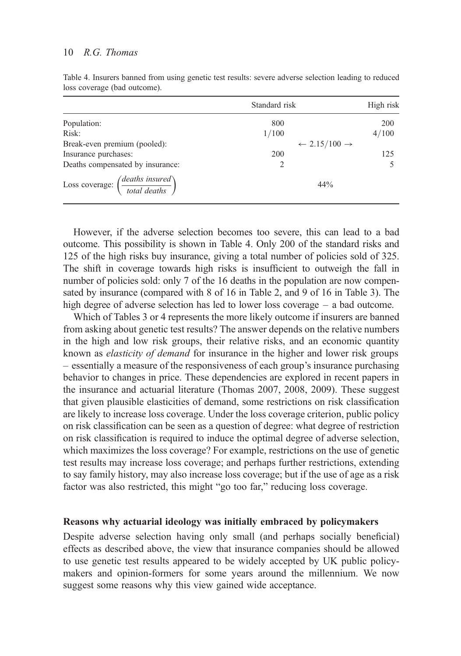| Standard risk |                                     | High risk<br>200 |
|---------------|-------------------------------------|------------------|
| 800           |                                     |                  |
| 1/100         |                                     | 4/100            |
|               | $\leftarrow$ 2.15/100 $\rightarrow$ |                  |
| 200           |                                     | 125              |
| 2             |                                     |                  |
|               | 44%                                 |                  |
|               |                                     |                  |

Table 4. Insurers banned from using genetic test results: severe adverse selection leading to reduced loss coverage (bad outcome).

However, if the adverse selection becomes too severe, this can lead to a bad outcome. This possibility is shown in Table 4. Only 200 of the standard risks and 125 of the high risks buy insurance, giving a total number of policies sold of 325. The shift in coverage towards high risks is insufficient to outweigh the fall in number of policies sold: only 7 of the 16 deaths in the population are now compensated by insurance (compared with 8 of 16 in Table 2, and 9 of 16 in Table 3). The high degree of adverse selection has led to lower loss coverage – a bad outcome.

Which of Tables 3 or 4 represents the more likely outcome if insurers are banned from asking about genetic test results? The answer depends on the relative numbers in the high and low risk groups, their relative risks, and an economic quantity known as elasticity of demand for insurance in the higher and lower risk groups – essentially a measure of the responsiveness of each group's insurance purchasing behavior to changes in price. These dependencies are explored in recent papers in the insurance and actuarial literature (Thomas 2007, 2008, 2009). These suggest that given plausible elasticities of demand, some restrictions on risk classification are likely to increase loss coverage. Under the loss coverage criterion, public policy on risk classification can be seen as a question of degree: what degree of restriction on risk classification is required to induce the optimal degree of adverse selection, which maximizes the loss coverage? For example, restrictions on the use of genetic test results may increase loss coverage; and perhaps further restrictions, extending to say family history, may also increase loss coverage; but if the use of age as a risk factor was also restricted, this might "go too far," reducing loss coverage.

#### Reasons why actuarial ideology was initially embraced by policymakers

Despite adverse selection having only small (and perhaps socially beneficial) effects as described above, the view that insurance companies should be allowed to use genetic test results appeared to be widely accepted by UK public policymakers and opinion-formers for some years around the millennium. We now suggest some reasons why this view gained wide acceptance.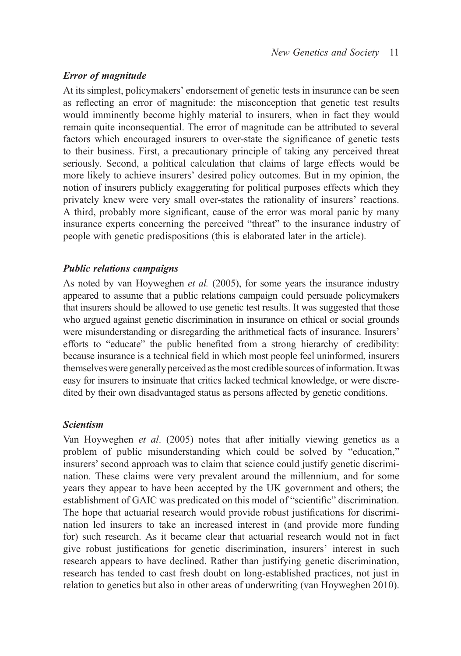#### Error of magnitude

At its simplest, policymakers' endorsement of genetic tests in insurance can be seen as reflecting an error of magnitude: the misconception that genetic test results would imminently become highly material to insurers, when in fact they would remain quite inconsequential. The error of magnitude can be attributed to several factors which encouraged insurers to over-state the significance of genetic tests to their business. First, a precautionary principle of taking any perceived threat seriously. Second, a political calculation that claims of large effects would be more likely to achieve insurers' desired policy outcomes. But in my opinion, the notion of insurers publicly exaggerating for political purposes effects which they privately knew were very small over-states the rationality of insurers' reactions. A third, probably more significant, cause of the error was moral panic by many insurance experts concerning the perceived "threat" to the insurance industry of people with genetic predispositions (this is elaborated later in the article).

#### Public relations campaigns

As noted by van Hoyweghen et al. (2005), for some years the insurance industry appeared to assume that a public relations campaign could persuade policymakers that insurers should be allowed to use genetic test results. It was suggested that those who argued against genetic discrimination in insurance on ethical or social grounds were misunderstanding or disregarding the arithmetical facts of insurance. Insurers' efforts to "educate" the public benefited from a strong hierarchy of credibility: because insurance is a technical field in which most people feel uninformed, insurers themselves were generally perceived asthe most credible sources of information. It was easy for insurers to insinuate that critics lacked technical knowledge, or were discredited by their own disadvantaged status as persons affected by genetic conditions.

#### Scientism

Van Hoyweghen et al. (2005) notes that after initially viewing genetics as a problem of public misunderstanding which could be solved by "education," insurers' second approach was to claim that science could justify genetic discrimination. These claims were very prevalent around the millennium, and for some years they appear to have been accepted by the UK government and others; the establishment of GAIC was predicated on this model of "scientific" discrimination. The hope that actuarial research would provide robust justifications for discrimination led insurers to take an increased interest in (and provide more funding for) such research. As it became clear that actuarial research would not in fact give robust justifications for genetic discrimination, insurers' interest in such research appears to have declined. Rather than justifying genetic discrimination, research has tended to cast fresh doubt on long-established practices, not just in relation to genetics but also in other areas of underwriting (van Hoyweghen 2010).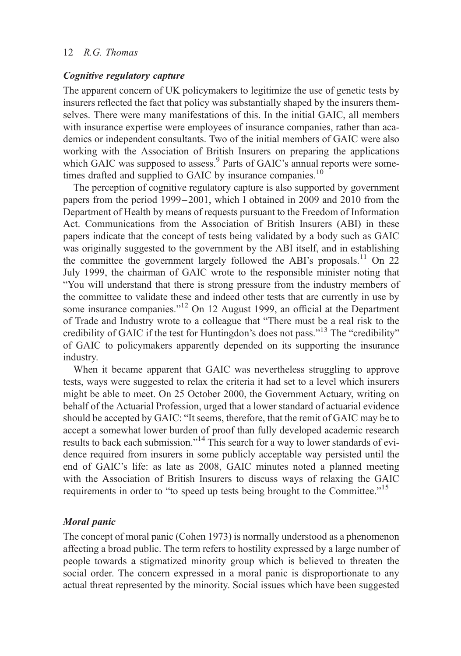#### Cognitive regulatory capture

The apparent concern of UK policymakers to legitimize the use of genetic tests by insurers reflected the fact that policy was substantially shaped by the insurers themselves. There were many manifestations of this. In the initial GAIC, all members with insurance expertise were employees of insurance companies, rather than academics or independent consultants. Two of the initial members of GAIC were also working with the Association of British Insurers on preparing the applications which GAIC was supposed to assess.<sup>9</sup> Parts of GAIC's annual reports were sometimes drafted and supplied to GAIC by insurance companies.<sup>10</sup>

The perception of cognitive regulatory capture is also supported by government papers from the period 1999 –2001, which I obtained in 2009 and 2010 from the Department of Health by means of requests pursuant to the Freedom of Information Act. Communications from the Association of British Insurers (ABI) in these papers indicate that the concept of tests being validated by a body such as GAIC was originally suggested to the government by the ABI itself, and in establishing the committee the government largely followed the ABI's proposals.<sup>11</sup> On 22 July 1999, the chairman of GAIC wrote to the responsible minister noting that "You will understand that there is strong pressure from the industry members of the committee to validate these and indeed other tests that are currently in use by some insurance companies."<sup>12</sup> On 12 August 1999, an official at the Department of Trade and Industry wrote to a colleague that "There must be a real risk to the credibility of GAIC if the test for Huntingdon's does not pass."<sup>13</sup> The "credibility" of GAIC to policymakers apparently depended on its supporting the insurance industry.

When it became apparent that GAIC was nevertheless struggling to approve tests, ways were suggested to relax the criteria it had set to a level which insurers might be able to meet. On 25 October 2000, the Government Actuary, writing on behalf of the Actuarial Profession, urged that a lower standard of actuarial evidence should be accepted by GAIC: "It seems, therefore, that the remit of GAIC may be to accept a somewhat lower burden of proof than fully developed academic research results to back each submission."<sup>14</sup> This search for a way to lower standards of evidence required from insurers in some publicly acceptable way persisted until the end of GAIC's life: as late as 2008, GAIC minutes noted a planned meeting with the Association of British Insurers to discuss ways of relaxing the GAIC requirements in order to "to speed up tests being brought to the Committee."<sup>15</sup>

#### Moral panic

The concept of moral panic (Cohen 1973) is normally understood as a phenomenon affecting a broad public. The term refers to hostility expressed by a large number of people towards a stigmatized minority group which is believed to threaten the social order. The concern expressed in a moral panic is disproportionate to any actual threat represented by the minority. Social issues which have been suggested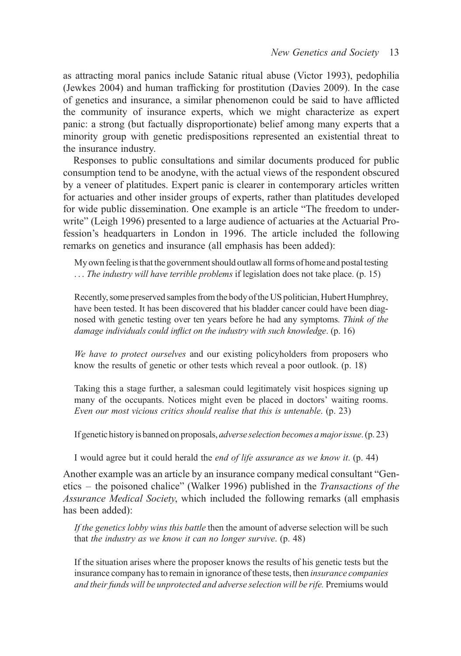as attracting moral panics include Satanic ritual abuse (Victor 1993), pedophilia (Jewkes 2004) and human trafficking for prostitution (Davies 2009). In the case of genetics and insurance, a similar phenomenon could be said to have afflicted the community of insurance experts, which we might characterize as expert panic: a strong (but factually disproportionate) belief among many experts that a minority group with genetic predispositions represented an existential threat to the insurance industry.

Responses to public consultations and similar documents produced for public consumption tend to be anodyne, with the actual views of the respondent obscured by a veneer of platitudes. Expert panic is clearer in contemporary articles written for actuaries and other insider groups of experts, rather than platitudes developed for wide public dissemination. One example is an article "The freedom to underwrite" (Leigh 1996) presented to a large audience of actuaries at the Actuarial Profession's headquarters in London in 1996. The article included the following remarks on genetics and insurance (all emphasis has been added):

My own feeling isthat the government should outlaw all forms of home and postal testing ... The industry will have terrible problems if legislation does not take place. (p. 15)

Recently, some preserved samples from the body of the US politician, Hubert Humphrey, have been tested. It has been discovered that his bladder cancer could have been diagnosed with genetic testing over ten years before he had any symptoms. Think of the damage individuals could inflict on the industry with such knowledge. (p. 16)

We have to protect ourselves and our existing policyholders from proposers who know the results of genetic or other tests which reveal a poor outlook. (p. 18)

Taking this a stage further, a salesman could legitimately visit hospices signing up many of the occupants. Notices might even be placed in doctors' waiting rooms. Even our most vicious critics should realise that this is untenable. (p. 23)

If genetic historyis banned on proposals, adverse selection becomes a major issue. (p. 23)

I would agree but it could herald the end of life assurance as we know it. (p. 44)

Another example was an article by an insurance company medical consultant "Genetics – the poisoned chalice" (Walker 1996) published in the Transactions of the Assurance Medical Society, which included the following remarks (all emphasis has been added):

If the genetics lobby wins this battle then the amount of adverse selection will be such that the industry as we know it can no longer survive. (p. 48)

If the situation arises where the proposer knows the results of his genetic tests but the insurance company has to remain in ignorance of these tests, then insurance companies and their funds will be unprotected and adverse selection will be rife. Premiums would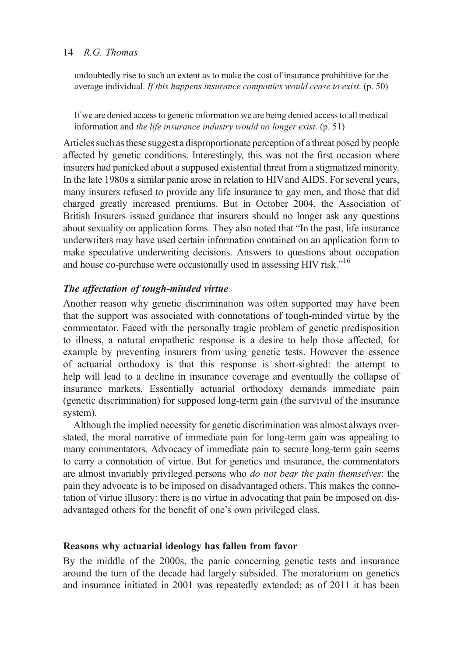undoubtedly rise to such an extent as to make the cost of insurance prohibitive for the average individual. If this happens insurance companies would cease to exist. (p. 50)

If we are denied access to genetic information we are being denied access to all medical information and the life insurance industry would no longer exist.  $(p, 51)$ 

Articles such as these suggest a disproportionate perception of a threat posed by people affected by genetic conditions. Interestingly, this was not the first occasion where insurers had panicked about a supposed existential threat from a stigmatized minority. In the late 1980s a similar panic arose in relation to HIVand AIDS. For several years, many insurers refused to provide any life insurance to gay men, and those that did charged greatly increased premiums. But in October 2004, the Association of British Insurers issued guidance that insurers should no longer ask any questions about sexuality on application forms. They also noted that "In the past, life insurance underwriters may have used certain information contained on an application form to make speculative underwriting decisions. Answers to questions about occupation and house co-purchase were occasionally used in assessing HIV risk."<sup>16</sup>

#### The affectation of tough-minded virtue

Another reason why genetic discrimination was often supported may have been that the support was associated with connotations of tough-minded virtue by the commentator. Faced with the personally tragic problem of genetic predisposition to illness, a natural empathetic response is a desire to help those affected, for example by preventing insurers from using genetic tests. However the essence of actuarial orthodoxy is that this response is short-sighted: the attempt to help will lead to a decline in insurance coverage and eventually the collapse of insurance markets. Essentially actuarial orthodoxy demands immediate pain (genetic discrimination) for supposed long-term gain (the survival of the insurance system).

Although the implied necessity for genetic discrimination was almost always overstated, the moral narrative of immediate pain for long-term gain was appealing to many commentators. Advocacy of immediate pain to secure long-term gain seems to carry a connotation of virtue. But for genetics and insurance, the commentators are almost invariably privileged persons who do not bear the pain themselves: the pain they advocate is to be imposed on disadvantaged others. This makes the connotation of virtue illusory: there is no virtue in advocating that pain be imposed on disadvantaged others for the benefit of one's own privileged class.

#### Reasons why actuarial ideology has fallen from favor

By the middle of the 2000s, the panic concerning genetic tests and insurance around the turn of the decade had largely subsided. The moratorium on genetics and insurance initiated in 2001 was repeatedly extended; as of 2011 it has been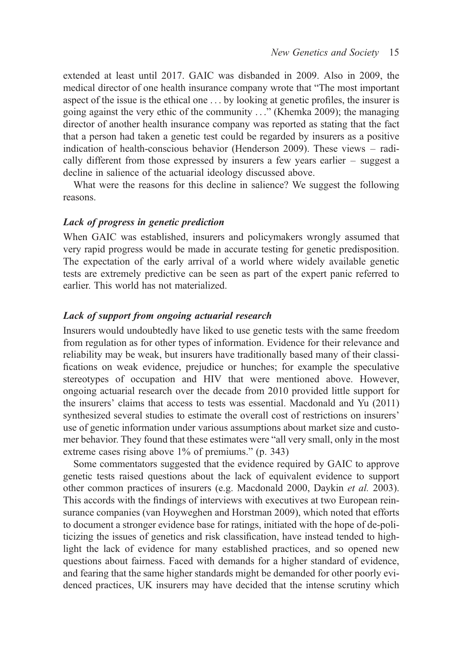extended at least until 2017. GAIC was disbanded in 2009. Also in 2009, the medical director of one health insurance company wrote that "The most important aspect of the issue is the ethical one ... by looking at genetic profiles, the insurer is going against the very ethic of the community ..." (Khemka 2009); the managing director of another health insurance company was reported as stating that the fact that a person had taken a genetic test could be regarded by insurers as a positive indication of health-conscious behavior (Henderson 2009). These views – radically different from those expressed by insurers a few years earlier – suggest a decline in salience of the actuarial ideology discussed above.

What were the reasons for this decline in salience? We suggest the following reasons.

#### Lack of progress in genetic prediction

When GAIC was established, insurers and policymakers wrongly assumed that very rapid progress would be made in accurate testing for genetic predisposition. The expectation of the early arrival of a world where widely available genetic tests are extremely predictive can be seen as part of the expert panic referred to earlier. This world has not materialized.

#### Lack of support from ongoing actuarial research

Insurers would undoubtedly have liked to use genetic tests with the same freedom from regulation as for other types of information. Evidence for their relevance and reliability may be weak, but insurers have traditionally based many of their classifications on weak evidence, prejudice or hunches; for example the speculative stereotypes of occupation and HIV that were mentioned above. However, ongoing actuarial research over the decade from 2010 provided little support for the insurers' claims that access to tests was essential. Macdonald and Yu (2011) synthesized several studies to estimate the overall cost of restrictions on insurers' use of genetic information under various assumptions about market size and customer behavior. They found that these estimates were "all very small, only in the most extreme cases rising above 1% of premiums." (p. 343)

Some commentators suggested that the evidence required by GAIC to approve genetic tests raised questions about the lack of equivalent evidence to support other common practices of insurers (e.g. Macdonald 2000, Daykin et al. 2003). This accords with the findings of interviews with executives at two European reinsurance companies (van Hoyweghen and Horstman 2009), which noted that efforts to document a stronger evidence base for ratings, initiated with the hope of de-politicizing the issues of genetics and risk classification, have instead tended to highlight the lack of evidence for many established practices, and so opened new questions about fairness. Faced with demands for a higher standard of evidence, and fearing that the same higher standards might be demanded for other poorly evidenced practices, UK insurers may have decided that the intense scrutiny which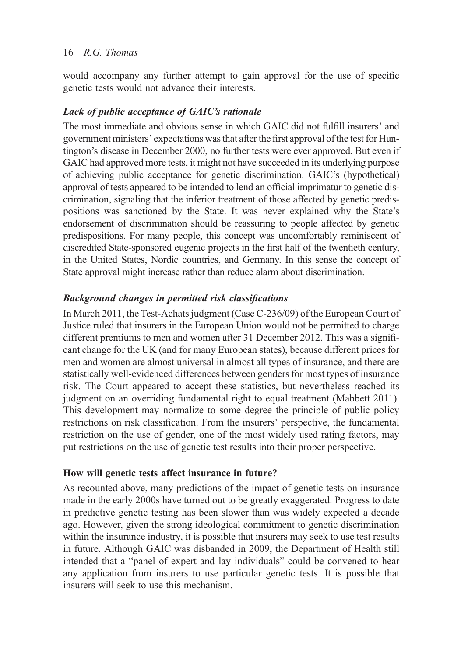would accompany any further attempt to gain approval for the use of specific genetic tests would not advance their interests.

#### Lack of public acceptance of GAIC's rationale

The most immediate and obvious sense in which GAIC did not fulfill insurers' and government ministers' expectations was that after the first approval of the test for Huntington's disease in December 2000, no further tests were ever approved. But even if GAIC had approved more tests, it might not have succeeded in its underlying purpose of achieving public acceptance for genetic discrimination. GAIC's (hypothetical) approval of tests appeared to be intended to lend an official imprimatur to genetic discrimination, signaling that the inferior treatment of those affected by genetic predispositions was sanctioned by the State. It was never explained why the State's endorsement of discrimination should be reassuring to people affected by genetic predispositions. For many people, this concept was uncomfortably reminiscent of discredited State-sponsored eugenic projects in the first half of the twentieth century, in the United States, Nordic countries, and Germany. In this sense the concept of State approval might increase rather than reduce alarm about discrimination.

#### Background changes in permitted risk classifications

In March 2011, the Test-Achats judgment (Case C-236/09) of the European Court of Justice ruled that insurers in the European Union would not be permitted to charge different premiums to men and women after 31 December 2012. This was a significant change for the UK (and for many European states), because different prices for men and women are almost universal in almost all types of insurance, and there are statistically well-evidenced differences between genders for most types of insurance risk. The Court appeared to accept these statistics, but nevertheless reached its judgment on an overriding fundamental right to equal treatment (Mabbett 2011). This development may normalize to some degree the principle of public policy restrictions on risk classification. From the insurers' perspective, the fundamental restriction on the use of gender, one of the most widely used rating factors, may put restrictions on the use of genetic test results into their proper perspective.

#### How will genetic tests affect insurance in future?

As recounted above, many predictions of the impact of genetic tests on insurance made in the early 2000s have turned out to be greatly exaggerated. Progress to date in predictive genetic testing has been slower than was widely expected a decade ago. However, given the strong ideological commitment to genetic discrimination within the insurance industry, it is possible that insurers may seek to use test results in future. Although GAIC was disbanded in 2009, the Department of Health still intended that a "panel of expert and lay individuals" could be convened to hear any application from insurers to use particular genetic tests. It is possible that insurers will seek to use this mechanism.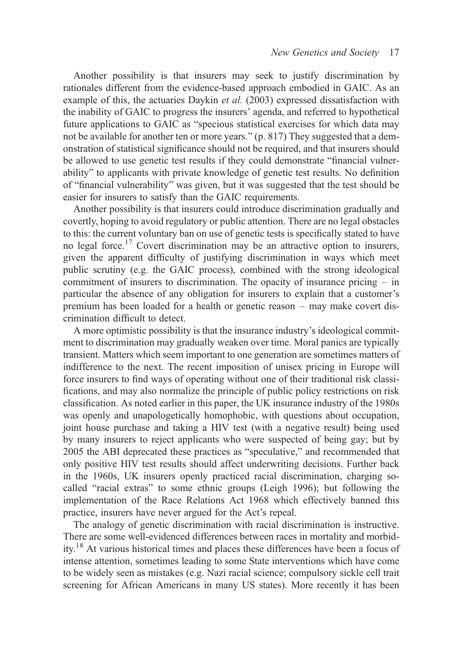Another possibility is that insurers may seek to justify discrimination by rationales different from the evidence-based approach embodied in GAIC. As an example of this, the actuaries Daykin et al. (2003) expressed dissatisfaction with the inability of GAIC to progress the insurers' agenda, and referred to hypothetical future applications to GAIC as "specious statistical exercises for which data may not be available for another ten or more years." (p. 817) They suggested that a demonstration of statistical significance should not be required, and that insurers should be allowed to use genetic test results if they could demonstrate "financial vulnerability" to applicants with private knowledge of genetic test results. No definition of "financial vulnerability" was given, but it was suggested that the test should be easier for insurers to satisfy than the GAIC requirements.

Another possibility is that insurers could introduce discrimination gradually and covertly, hoping to avoid regulatory or public attention. There are no legal obstacles to this: the current voluntary ban on use of genetic tests is specifically stated to have no legal force.<sup>17</sup> Covert discrimination may be an attractive option to insurers, given the apparent difficulty of justifying discrimination in ways which meet public scrutiny (e.g. the GAIC process), combined with the strong ideological commitment of insurers to discrimination. The opacity of insurance pricing – in particular the absence of any obligation for insurers to explain that a customer's premium has been loaded for a health or genetic reason – may make covert discrimination difficult to detect.

A more optimistic possibility is that the insurance industry's ideological commitment to discrimination may gradually weaken over time. Moral panics are typically transient. Matters which seem important to one generation are sometimes matters of indifference to the next. The recent imposition of unisex pricing in Europe will force insurers to find ways of operating without one of their traditional risk classifications, and may also normalize the principle of public policy restrictions on risk classification. As noted earlier in this paper, the UK insurance industry of the 1980s was openly and unapologetically homophobic, with questions about occupation, joint house purchase and taking a HIV test (with a negative result) being used by many insurers to reject applicants who were suspected of being gay; but by 2005 the ABI deprecated these practices as "speculative," and recommended that only positive HIV test results should affect underwriting decisions. Further back in the 1960s, UK insurers openly practiced racial discrimination, charging socalled "racial extras" to some ethnic groups (Leigh 1996); but following the implementation of the Race Relations Act 1968 which effectively banned this practice, insurers have never argued for the Act's repeal.

The analogy of genetic discrimination with racial discrimination is instructive. There are some well-evidenced differences between races in mortality and morbidity.<sup>18</sup> At various historical times and places these differences have been a focus of intense attention, sometimes leading to some State interventions which have come to be widely seen as mistakes (e.g. Nazi racial science; compulsory sickle cell trait screening for African Americans in many US states). More recently it has been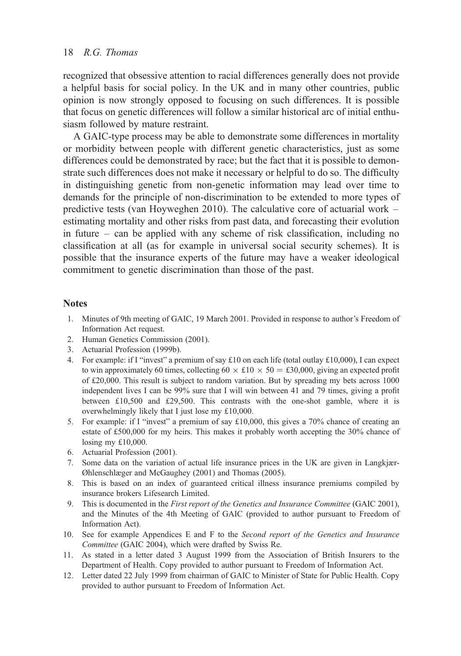recognized that obsessive attention to racial differences generally does not provide a helpful basis for social policy. In the UK and in many other countries, public opinion is now strongly opposed to focusing on such differences. It is possible that focus on genetic differences will follow a similar historical arc of initial enthusiasm followed by mature restraint.

A GAIC-type process may be able to demonstrate some differences in mortality or morbidity between people with different genetic characteristics, just as some differences could be demonstrated by race; but the fact that it is possible to demonstrate such differences does not make it necessary or helpful to do so. The difficulty in distinguishing genetic from non-genetic information may lead over time to demands for the principle of non-discrimination to be extended to more types of predictive tests (van Hoyweghen 2010). The calculative core of actuarial work – estimating mortality and other risks from past data, and forecasting their evolution in future – can be applied with any scheme of risk classification, including no classification at all (as for example in universal social security schemes). It is possible that the insurance experts of the future may have a weaker ideological commitment to genetic discrimination than those of the past.

#### **Notes**

- 1. Minutes of 9th meeting of GAIC, 19 March 2001. Provided in response to author's Freedom of Information Act request.
- 2. Human Genetics Commission (2001).
- 3. Actuarial Profession (1999b).
- 4. For example: if I "invest" a premium of say £10 on each life (total outlay £10,000), I can expect to win approximately 60 times, collecting  $60 \times \text{\pounds}10 \times 50 = \text{\pounds}30,000$ , giving an expected profit of £20,000. This result is subject to random variation. But by spreading my bets across 1000 independent lives I can be 99% sure that I will win between 41 and 79 times, giving a profit between £10,500 and £29,500. This contrasts with the one-shot gamble, where it is overwhelmingly likely that I just lose my £10,000.
- 5. For example: if I "invest" a premium of say £10,000, this gives a 70% chance of creating an estate of £500,000 for my heirs. This makes it probably worth accepting the 30% chance of losing my £10,000.
- 6. Actuarial Profession (2001).
- 7. Some data on the variation of actual life insurance prices in the UK are given in Langkjær-Øhlenschlæger and McGaughey (2001) and Thomas (2005).
- 8. This is based on an index of guaranteed critical illness insurance premiums compiled by insurance brokers Lifesearch Limited.
- 9. This is documented in the First report of the Genetics and Insurance Committee (GAIC 2001), and the Minutes of the 4th Meeting of GAIC (provided to author pursuant to Freedom of Information Act).
- 10. See for example Appendices E and F to the Second report of the Genetics and Insurance Committee (GAIC 2004), which were drafted by Swiss Re.
- 11. As stated in a letter dated 3 August 1999 from the Association of British Insurers to the Department of Health. Copy provided to author pursuant to Freedom of Information Act.
- 12. Letter dated 22 July 1999 from chairman of GAIC to Minister of State for Public Health. Copy provided to author pursuant to Freedom of Information Act.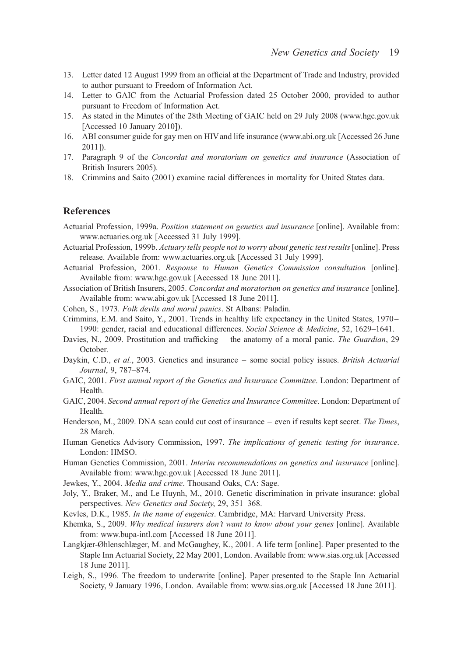- 13. Letter dated 12 August 1999 from an official at the Department of Trade and Industry, provided to author pursuant to Freedom of Information Act.
- 14. Letter to GAIC from the Actuarial Profession dated 25 October 2000, provided to author pursuant to Freedom of Information Act.
- 15. As stated in the Minutes of the 28th Meeting of GAIC held on 29 July 2008 [\(www.hgc.gov.uk](www.hgc.gov.uk) [Accessed 10 January 2010]).
- 16. ABI consumer guide for gay men on HIV and life insurance (<www.abi.org.uk> [Accessed 26 June 2011]).
- 17. Paragraph 9 of the Concordat and moratorium on genetics and insurance (Association of British Insurers 2005).
- 18. Crimmins and Saito (2001) examine racial differences in mortality for United States data.

#### References

- Actuarial Profession, 1999a. Position statement on genetics and insurance [online]. Available from: <www.actuaries.org.uk> [Accessed 31 July 1999].
- Actuarial Profession, 1999b. Actuary tells people not to worry about genetic test results [online]. Press release. Available from:<www.actuaries.org.uk> [Accessed 31 July 1999].
- Actuarial Profession, 2001. Response to Human Genetics Commission consultation [online]. Available from:<www.hgc.gov.uk> [Accessed 18 June 2011].
- Association of British Insurers, 2005. Concordat and moratorium on genetics and insurance [online]. Available from:<www.abi.gov.uk> [Accessed 18 June 2011].
- Cohen, S., 1973. Folk devils and moral panics. St Albans: Paladin.
- Crimmins, E.M. and Saito, Y., 2001. Trends in healthy life expectancy in the United States, 1970– 1990: gender, racial and educational differences. Social Science & Medicine, 52, 1629-1641.
- Davies, N., 2009. Prostitution and trafficking the anatomy of a moral panic. The Guardian, 29 October.
- Daykin, C.D., et al., 2003. Genetics and insurance some social policy issues. British Actuarial Journal, 9, 787–874.
- GAIC, 2001. First annual report of the Genetics and Insurance Committee. London: Department of Health.
- GAIC, 2004. Second annual report of the Genetics and Insurance Committee. London: Department of Health.
- Henderson, M., 2009. DNA scan could cut cost of insurance even if results kept secret. The Times, 28 March.
- Human Genetics Advisory Commission, 1997. The implications of genetic testing for insurance. London: HMSO.
- Human Genetics Commission, 2001. Interim recommendations on genetics and insurance [online]. Available from:<www.hgc.gov.uk> [Accessed 18 June 2011].
- Jewkes, Y., 2004. Media and crime. Thousand Oaks, CA: Sage.
- Joly, Y., Braker, M., and Le Huynh, M., 2010. Genetic discrimination in private insurance: global perspectives. New Genetics and Society, 29, 351–368.
- Kevles, D.K., 1985. In the name of eugenics. Cambridge, MA: Harvard University Press.
- Khemka, S., 2009. Why medical insurers don't want to know about your genes [online]. Available from:<www.bupa-intl.com> [Accessed 18 June 2011].
- Langkjær-Øhlenschlæger, M. and McGaughey, K., 2001. A life term [online]. Paper presented to the Staple Inn Actuarial Society, 22 May 2001, London. Available from:<www.sias.org.uk> [Accessed 18 June 2011].
- Leigh, S., 1996. The freedom to underwrite [online]. Paper presented to the Staple Inn Actuarial Society, 9 January 1996, London. Available from:<www.sias.org.uk> [Accessed 18 June 2011].